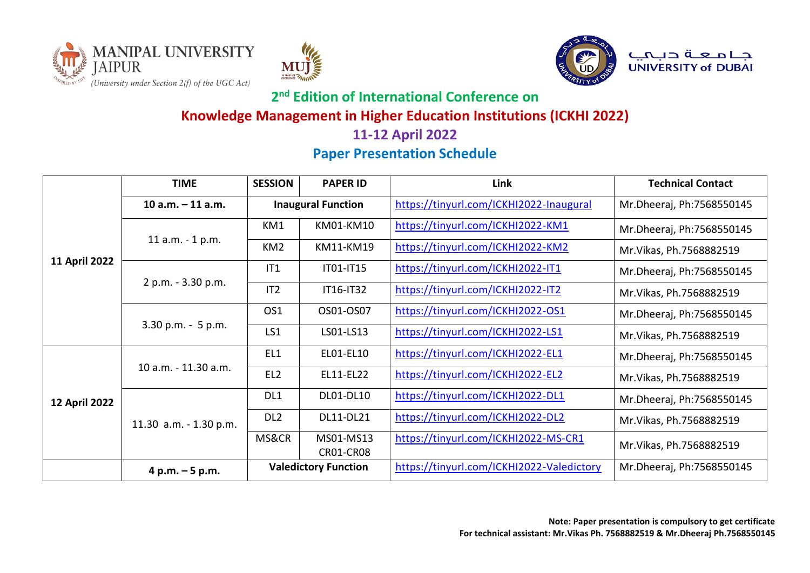





جـــا مــــعــــة دــبـــمـــــــــ<br>UNIVERSITY of DUBAI

# **2 nd Edition of International Conference on**

### **Knowledge Management in Higher Education Institutions (ICKHI 2022)**

### **11-12 April 2022**

# **Paper Presentation Schedule**

|                      | <b>TIME</b>            | <b>SESSION</b>            | <b>PAPER ID</b>               | Link                                      | <b>Technical Contact</b>  |
|----------------------|------------------------|---------------------------|-------------------------------|-------------------------------------------|---------------------------|
|                      | $10 a.m. - 11 a.m.$    | <b>Inaugural Function</b> |                               | https://tinyurl.com/ICKHI2022-Inaugural   | Mr.Dheeraj, Ph:7568550145 |
|                      |                        | KM1                       | KM01-KM10                     | https://tinyurl.com/ICKHI2022-KM1         | Mr.Dheeraj, Ph:7568550145 |
|                      | 11 a.m. - 1 p.m.       | KM <sub>2</sub>           | KM11-KM19                     | https://tinyurl.com/ICKHI2022-KM2         | Mr. Vikas, Ph. 7568882519 |
| 11 April 2022        |                        | IT1                       | IT01-IT15                     | https://tinyurl.com/ICKHI2022-IT1         | Mr.Dheeraj, Ph:7568550145 |
|                      | 2 p.m. - 3.30 p.m.     | IT <sub>2</sub>           | IT16-IT32                     | https://tinyurl.com/ICKHI2022-IT2         | Mr. Vikas, Ph. 7568882519 |
|                      |                        | OS1                       | OS01-OS07                     | https://tinyurl.com/ICKHI2022-OS1         | Mr.Dheeraj, Ph:7568550145 |
|                      | 3.30 p.m. - 5 p.m.     | LS1                       | LS01-LS13                     | https://tinyurl.com/ICKHI2022-LS1         | Mr. Vikas, Ph. 7568882519 |
|                      | 10 a.m. - 11.30 a.m.   | EL1                       | EL01-EL10                     | https://tinyurl.com/ICKHI2022-EL1         | Mr.Dheeraj, Ph:7568550145 |
|                      |                        | EL <sub>2</sub>           | EL11-EL22                     | https://tinyurl.com/ICKHI2022-EL2         | Mr. Vikas, Ph. 7568882519 |
| <b>12 April 2022</b> |                        | DL1                       | DL01-DL10                     | https://tinyurl.com/ICKHI2022-DL1         | Mr.Dheeraj, Ph:7568550145 |
|                      | 11.30 a.m. - 1.30 p.m. | DL <sub>2</sub>           | DL11-DL21                     | https://tinyurl.com/ICKHI2022-DL2         | Mr. Vikas, Ph. 7568882519 |
|                      |                        | MS&CR                     | MS01-MS13<br><b>CR01-CR08</b> | https://tinyurl.com/ICKHI2022-MS-CR1      | Mr. Vikas, Ph. 7568882519 |
|                      | 4 p.m. $-5$ p.m.       |                           | <b>Valedictory Function</b>   | https://tinyurl.com/ICKHI2022-Valedictory | Mr.Dheeraj, Ph:7568550145 |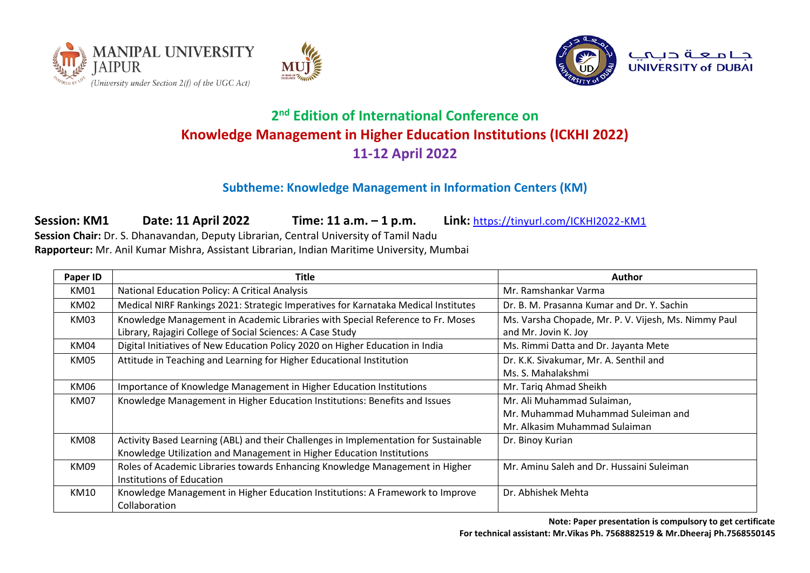





#### **Subtheme: Knowledge Management in Information Centers (KM)**

**Session: KM1 Date: 11 April 2022 Time: 11 a.m. – 1 p.m. Link:** <https://tinyurl.com/ICKHI2022-KM1> **Session Chair:** Dr. S. Dhanavandan, Deputy Librarian, Central University of Tamil Nadu **Rapporteur:** Mr. Anil Kumar Mishra, Assistant Librarian, Indian Maritime University, Mumbai

| Paper ID    | Title                                                                                | Author                                               |
|-------------|--------------------------------------------------------------------------------------|------------------------------------------------------|
| KM01        | National Education Policy: A Critical Analysis                                       | Mr. Ramshankar Varma                                 |
| KM02        | Medical NIRF Rankings 2021: Strategic Imperatives for Karnataka Medical Institutes   | Dr. B. M. Prasanna Kumar and Dr. Y. Sachin           |
| KM03        | Knowledge Management in Academic Libraries with Special Reference to Fr. Moses       | Ms. Varsha Chopade, Mr. P. V. Vijesh, Ms. Nimmy Paul |
|             | Library, Rajagiri College of Social Sciences: A Case Study                           | and Mr. Jovin K. Joy                                 |
| KM04        | Digital Initiatives of New Education Policy 2020 on Higher Education in India        | Ms. Rimmi Datta and Dr. Jayanta Mete                 |
| KM05        | Attitude in Teaching and Learning for Higher Educational Institution                 | Dr. K.K. Sivakumar, Mr. A. Senthil and               |
|             |                                                                                      | Ms. S. Mahalakshmi                                   |
| KM06        | Importance of Knowledge Management in Higher Education Institutions                  | Mr. Tariq Ahmad Sheikh                               |
| <b>KM07</b> | Knowledge Management in Higher Education Institutions: Benefits and Issues           | Mr. Ali Muhammad Sulaiman,                           |
|             |                                                                                      | Mr. Muhammad Muhammad Suleiman and                   |
|             |                                                                                      | Mr. Alkasim Muhammad Sulaiman                        |
| <b>KM08</b> | Activity Based Learning (ABL) and their Challenges in Implementation for Sustainable | Dr. Binoy Kurian                                     |
|             | Knowledge Utilization and Management in Higher Education Institutions                |                                                      |
| <b>KM09</b> | Roles of Academic Libraries towards Enhancing Knowledge Management in Higher         | Mr. Aminu Saleh and Dr. Hussaini Suleiman            |
|             | Institutions of Education                                                            |                                                      |
| KM10        | Knowledge Management in Higher Education Institutions: A Framework to Improve        | Dr. Abhishek Mehta                                   |
|             | Collaboration                                                                        |                                                      |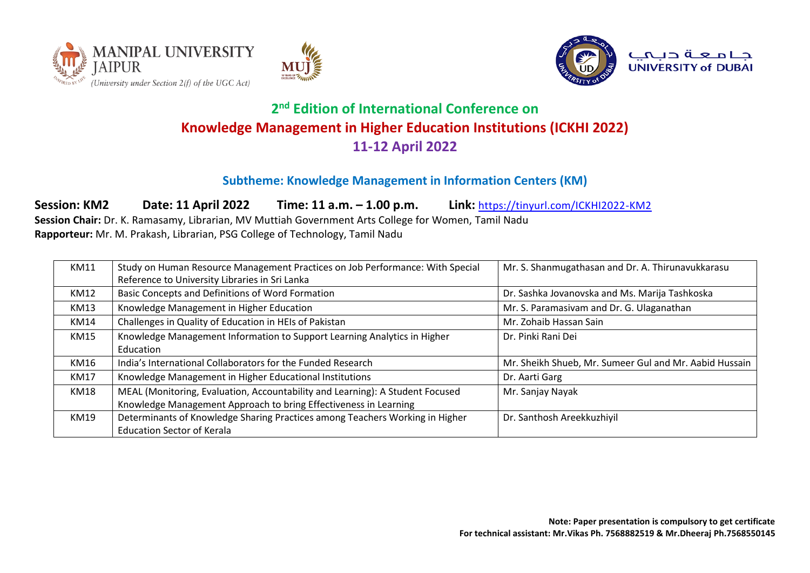





#### **Subtheme: Knowledge Management in Information Centers (KM)**

**Session: KM2 Date: 11 April 2022 Time: 11 a.m. – 1.00 p.m. Link:** <https://tinyurl.com/ICKHI2022-KM2>

**Session Chair:** Dr. K. Ramasamy, Librarian, MV Muttiah Government Arts College for Women, Tamil Nadu **Rapporteur:** Mr. M. Prakash, Librarian, PSG College of Technology, Tamil Nadu

| KM11 | Study on Human Resource Management Practices on Job Performance: With Special | Mr. S. Shanmugathasan and Dr. A. Thirunavukkarasu      |
|------|-------------------------------------------------------------------------------|--------------------------------------------------------|
|      | Reference to University Libraries in Sri Lanka                                |                                                        |
| KM12 | Basic Concepts and Definitions of Word Formation                              | Dr. Sashka Jovanovska and Ms. Marija Tashkoska         |
| KM13 | Knowledge Management in Higher Education                                      | Mr. S. Paramasivam and Dr. G. Ulaganathan              |
| KM14 | Challenges in Quality of Education in HEIs of Pakistan                        | Mr. Zohaib Hassan Sain                                 |
| KM15 | Knowledge Management Information to Support Learning Analytics in Higher      | Dr. Pinki Rani Dei                                     |
|      | Education                                                                     |                                                        |
| KM16 | India's International Collaborators for the Funded Research                   | Mr. Sheikh Shueb, Mr. Sumeer Gul and Mr. Aabid Hussain |
| KM17 | Knowledge Management in Higher Educational Institutions                       | Dr. Aarti Garg                                         |
| KM18 | MEAL (Monitoring, Evaluation, Accountability and Learning): A Student Focused | Mr. Sanjay Nayak                                       |
|      | Knowledge Management Approach to bring Effectiveness in Learning              |                                                        |
| KM19 | Determinants of Knowledge Sharing Practices among Teachers Working in Higher  | Dr. Santhosh Areekkuzhiyil                             |
|      | <b>Education Sector of Kerala</b>                                             |                                                        |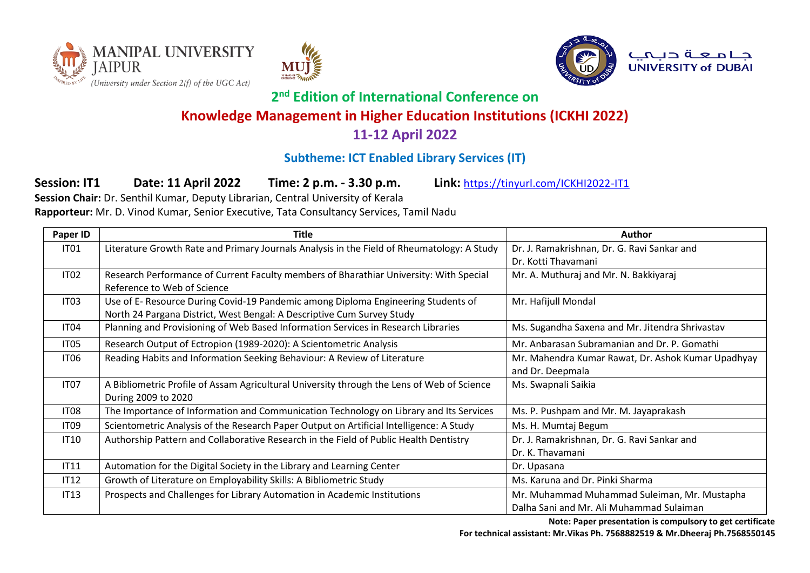





جامعة دبميه **UNIVERSITY of DUBAL** 

# **2 nd Edition of International Conference on**

## **Knowledge Management in Higher Education Institutions (ICKHI 2022)**

### **11-12 April 2022**

# **Subtheme: ICT Enabled Library Services (IT)**

**Session: IT1 Date: 11 April 2022 Time: 2 p.m. - 3.30 p.m. Link:** <https://tinyurl.com/ICKHI2022-IT1>

**Session Chair:** Dr. Senthil Kumar, Deputy Librarian, Central University of Kerala **Rapporteur:** Mr. D. Vinod Kumar, Senior Executive, Tata Consultancy Services, Tamil Nadu

| Paper ID         | <b>Title</b>                                                                                                                                                | Author                                                                                   |
|------------------|-------------------------------------------------------------------------------------------------------------------------------------------------------------|------------------------------------------------------------------------------------------|
| IT01             | Literature Growth Rate and Primary Journals Analysis in the Field of Rheumatology: A Study                                                                  | Dr. J. Ramakrishnan, Dr. G. Ravi Sankar and<br>Dr. Kotti Thavamani                       |
| IT <sub>02</sub> | Research Performance of Current Faculty members of Bharathiar University: With Special<br>Reference to Web of Science                                       | Mr. A. Muthuraj and Mr. N. Bakkiyaraj                                                    |
| IT <sub>03</sub> | Use of E- Resource During Covid-19 Pandemic among Diploma Engineering Students of<br>North 24 Pargana District, West Bengal: A Descriptive Cum Survey Study | Mr. Hafijull Mondal                                                                      |
| IT04             | Planning and Provisioning of Web Based Information Services in Research Libraries                                                                           | Ms. Sugandha Saxena and Mr. Jitendra Shrivastav                                          |
| IT <sub>05</sub> | Research Output of Ectropion (1989-2020): A Scientometric Analysis                                                                                          | Mr. Anbarasan Subramanian and Dr. P. Gomathi                                             |
| IT06             | Reading Habits and Information Seeking Behaviour: A Review of Literature                                                                                    | Mr. Mahendra Kumar Rawat, Dr. Ashok Kumar Upadhyay<br>and Dr. Deepmala                   |
| IT07             | A Bibliometric Profile of Assam Agricultural University through the Lens of Web of Science<br>During 2009 to 2020                                           | Ms. Swapnali Saikia                                                                      |
| IT08             | The Importance of Information and Communication Technology on Library and Its Services                                                                      | Ms. P. Pushpam and Mr. M. Jayaprakash                                                    |
| IT <sub>09</sub> | Scientometric Analysis of the Research Paper Output on Artificial Intelligence: A Study                                                                     | Ms. H. Mumtaj Begum                                                                      |
| IT10             | Authorship Pattern and Collaborative Research in the Field of Public Health Dentistry                                                                       | Dr. J. Ramakrishnan, Dr. G. Ravi Sankar and<br>Dr. K. Thavamani                          |
| IT11             | Automation for the Digital Society in the Library and Learning Center                                                                                       | Dr. Upasana                                                                              |
| IT12             | Growth of Literature on Employability Skills: A Bibliometric Study                                                                                          | Ms. Karuna and Dr. Pinki Sharma                                                          |
| IT13             | Prospects and Challenges for Library Automation in Academic Institutions                                                                                    | Mr. Muhammad Muhammad Suleiman, Mr. Mustapha<br>Dalha Sani and Mr. Ali Muhammad Sulaiman |

**Note: Paper presentation is compulsory to get certificate For technical assistant: Mr.Vikas Ph. 7568882519 & Mr.Dheeraj Ph.7568550145**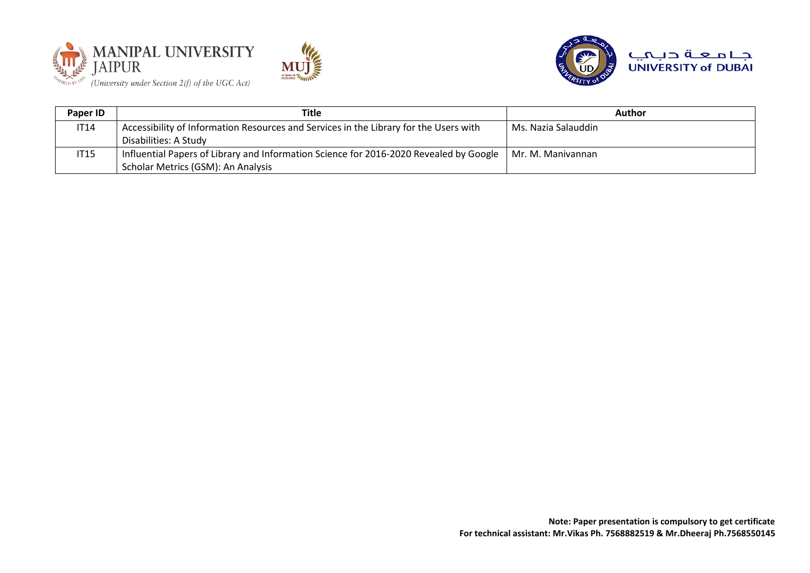





| Paper ID    | Title                                                                                  | <b>Author</b>       |
|-------------|----------------------------------------------------------------------------------------|---------------------|
| <b>IT14</b> | Accessibility of Information Resources and Services in the Library for the Users with  | Ms. Nazia Salauddin |
|             | Disabilities: A Study                                                                  |                     |
| <b>IT15</b> | Influential Papers of Library and Information Science for 2016-2020 Revealed by Google | Mr. M. Manivannan   |
|             | Scholar Metrics (GSM): An Analysis                                                     |                     |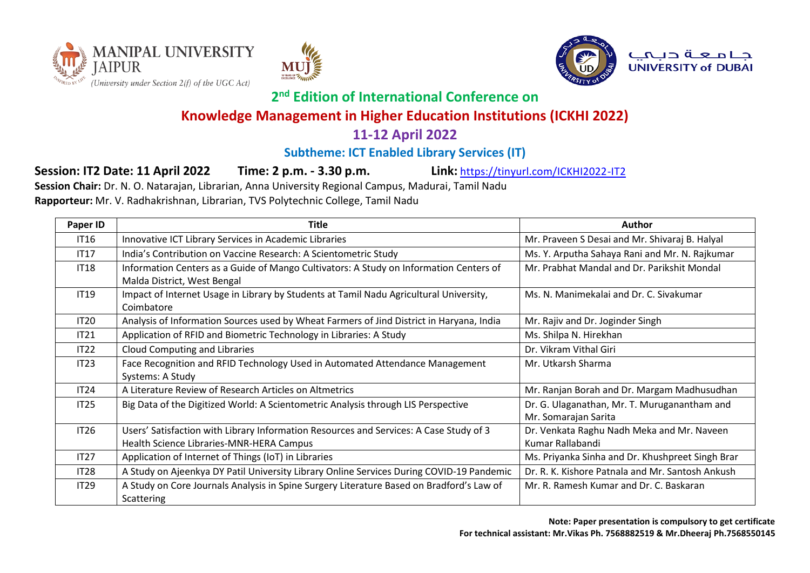







**2 nd Edition of International Conference on** 

## **Knowledge Management in Higher Education Institutions (ICKHI 2022)**

### **11-12 April 2022**

### **Subtheme: ICT Enabled Library Services (IT)**

**Session: IT2 Date: 11 April 2022 Time: 2 p.m. - 3.30 p.m. Link:** <https://tinyurl.com/ICKHI2022-IT2>

**Session Chair:** Dr. N. O. Natarajan, Librarian, Anna University Regional Campus, Madurai, Tamil Nadu **Rapporteur:** Mr. V. Radhakrishnan, Librarian, TVS Polytechnic College, Tamil Nadu

| Paper ID         | Title                                                                                                                              | Author                                                               |
|------------------|------------------------------------------------------------------------------------------------------------------------------------|----------------------------------------------------------------------|
| <b>IT16</b>      | Innovative ICT Library Services in Academic Libraries                                                                              | Mr. Praveen S Desai and Mr. Shivaraj B. Halyal                       |
| <b>IT17</b>      | India's Contribution on Vaccine Research: A Scientometric Study                                                                    | Ms. Y. Arputha Sahaya Rani and Mr. N. Rajkumar                       |
| <b>IT18</b>      | Information Centers as a Guide of Mango Cultivators: A Study on Information Centers of<br>Malda District, West Bengal              | Mr. Prabhat Mandal and Dr. Parikshit Mondal                          |
| <b>IT19</b>      | Impact of Internet Usage in Library by Students at Tamil Nadu Agricultural University,<br>Coimbatore                               | Ms. N. Manimekalai and Dr. C. Sivakumar                              |
| <b>IT20</b>      | Analysis of Information Sources used by Wheat Farmers of Jind District in Haryana, India                                           | Mr. Rajiv and Dr. Joginder Singh                                     |
| IT21             | Application of RFID and Biometric Technology in Libraries: A Study                                                                 | Ms. Shilpa N. Hirekhan                                               |
| IT22             | <b>Cloud Computing and Libraries</b>                                                                                               | Dr. Vikram Vithal Giri                                               |
| IT23             | Face Recognition and RFID Technology Used in Automated Attendance Management<br>Systems: A Study                                   | Mr. Utkarsh Sharma                                                   |
| IT24             | A Literature Review of Research Articles on Altmetrics                                                                             | Mr. Ranjan Borah and Dr. Margam Madhusudhan                          |
| IT25             | Big Data of the Digitized World: A Scientometric Analysis through LIS Perspective                                                  | Dr. G. Ulaganathan, Mr. T. Muruganantham and<br>Mr. Somarajan Sarita |
| <b>IT26</b>      | Users' Satisfaction with Library Information Resources and Services: A Case Study of 3<br>Health Science Libraries-MNR-HERA Campus | Dr. Venkata Raghu Nadh Meka and Mr. Naveen<br>Kumar Rallabandi       |
| IT27             | Application of Internet of Things (IoT) in Libraries                                                                               | Ms. Priyanka Sinha and Dr. Khushpreet Singh Brar                     |
| IT <sub>28</sub> | A Study on Ajeenkya DY Patil University Library Online Services During COVID-19 Pandemic                                           | Dr. R. K. Kishore Patnala and Mr. Santosh Ankush                     |
| IT29             | A Study on Core Journals Analysis in Spine Surgery Literature Based on Bradford's Law of<br><b>Scattering</b>                      | Mr. R. Ramesh Kumar and Dr. C. Baskaran                              |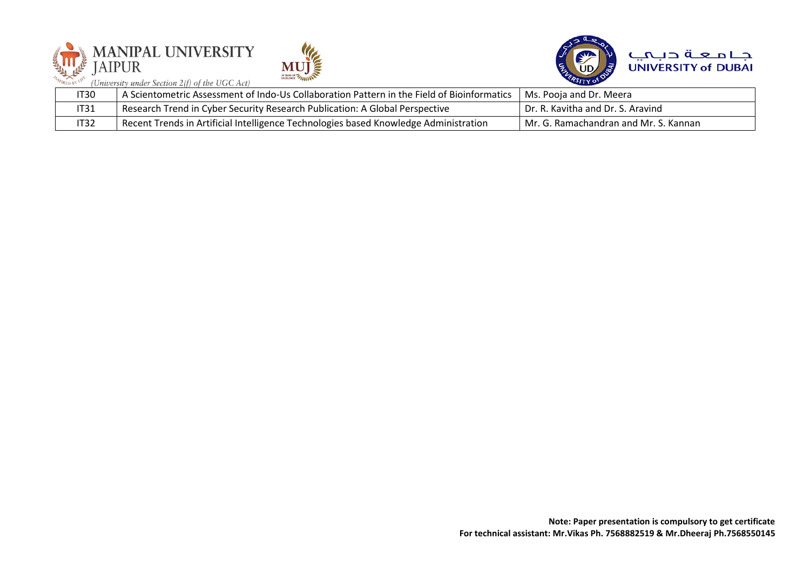|             | <b>MANIPAL UNIVERSITY</b><br>$\mathcal{L}$<br><b>DYLARS OF TANINTS</b><br>(University under Section 2(f) of the UGC Act) | جامعة دبميه<br><b>UNIVERSITY of DUBAI</b> |
|-------------|--------------------------------------------------------------------------------------------------------------------------|-------------------------------------------|
| IT30        | A Scientometric Assessment of Indo-Us Collaboration Pattern in the Field of Bioinformatics                               | Ms. Pooja and Dr. Meera                   |
| <b>IT31</b> | Research Trend in Cyber Security Research Publication: A Global Perspective                                              | Dr. R. Kavitha and Dr. S. Aravind         |
| IT32        | Recent Trends in Artificial Intelligence Technologies based Knowledge Administration                                     | Mr. G. Ramachandran and Mr. S. Kannan     |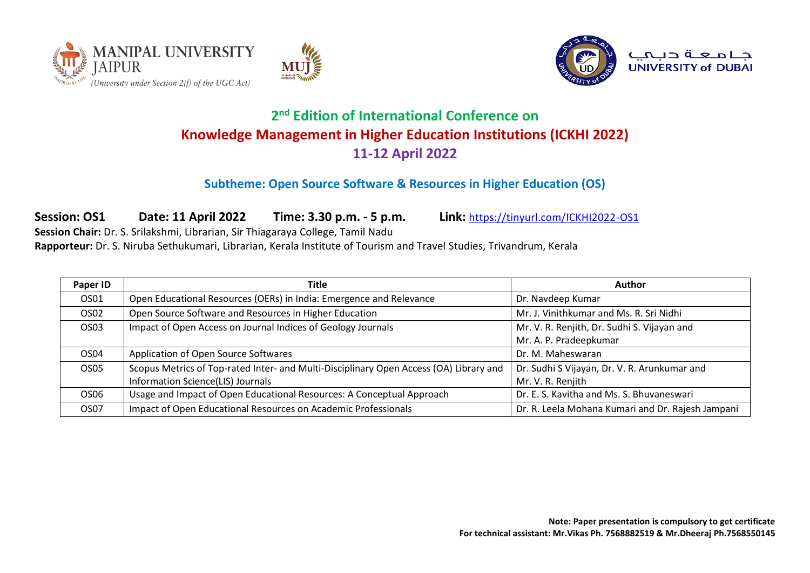





#### **Subtheme: Open Source Software & Resources in Higher Education (OS)**

**Session: OS1 Date: 11 April 2022 Time: 3.30 p.m. - 5 p.m. Link:** <https://tinyurl.com/ICKHI2022-OS1> **Session Chair:** Dr. S. Srilakshmi, Librarian, Sir Thiagaraya College, Tamil Nadu

**Rapporteur:** Dr. S. Niruba Sethukumari, Librarian, Kerala Institute of Tourism and Travel Studies, Trivandrum, Kerala

| Paper ID         | Title                                                                                  | <b>Author</b>                                     |
|------------------|----------------------------------------------------------------------------------------|---------------------------------------------------|
| OS01             | Open Educational Resources (OERs) in India: Emergence and Relevance                    | Dr. Navdeep Kumar                                 |
| OS <sub>02</sub> | Open Source Software and Resources in Higher Education                                 | Mr. J. Vinithkumar and Ms. R. Sri Nidhi           |
| OS <sub>03</sub> | Impact of Open Access on Journal Indices of Geology Journals                           | Mr. V. R. Renjith, Dr. Sudhi S. Vijayan and       |
|                  |                                                                                        | Mr. A. P. Pradeepkumar                            |
| OS <sub>04</sub> | Application of Open Source Softwares                                                   | Dr. M. Maheswaran                                 |
| OS <sub>05</sub> | Scopus Metrics of Top-rated Inter- and Multi-Disciplinary Open Access (OA) Library and | Dr. Sudhi S Vijayan, Dr. V. R. Arunkumar and      |
|                  | Information Science(LIS) Journals                                                      | Mr. V. R. Renjith                                 |
| OS <sub>06</sub> | Usage and Impact of Open Educational Resources: A Conceptual Approach                  | Dr. E. S. Kavitha and Ms. S. Bhuvaneswari         |
| OS07             | Impact of Open Educational Resources on Academic Professionals                         | Dr. R. Leela Mohana Kumari and Dr. Rajesh Jampani |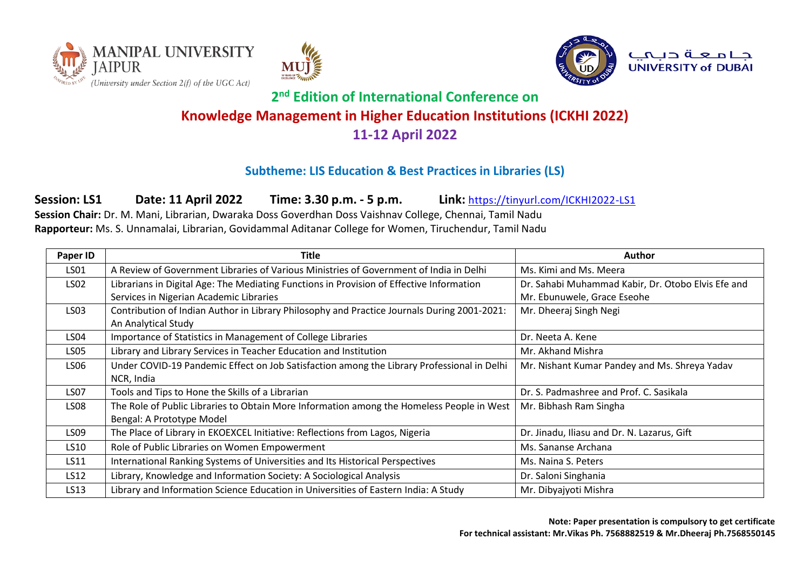





#### جامعة ديمي **UNIVERSITY of DUBAI**

# **2 nd Edition of International Conference on Knowledge Management in Higher Education Institutions (ICKHI 2022) 11-12 April 2022**

#### **Subtheme: LIS Education & Best Practices in Libraries (LS)**

**Session: LS1 Date: 11 April 2022 Time: 3.30 p.m. - 5 p.m. Link:** <https://tinyurl.com/ICKHI2022-LS1>

**Session Chair:** Dr. M. Mani, Librarian, Dwaraka Doss Goverdhan Doss Vaishnav College, Chennai, Tamil Nadu **Rapporteur:** Ms. S. Unnamalai, Librarian, Govidammal Aditanar College for Women, Tiruchendur, Tamil Nadu

| Paper ID         | Title                                                                                       | <b>Author</b>                                      |
|------------------|---------------------------------------------------------------------------------------------|----------------------------------------------------|
| LS01             | A Review of Government Libraries of Various Ministries of Government of India in Delhi      | Ms. Kimi and Ms. Meera                             |
| LS02             | Librarians in Digital Age: The Mediating Functions in Provision of Effective Information    | Dr. Sahabi Muhammad Kabir, Dr. Otobo Elvis Efe and |
|                  | Services in Nigerian Academic Libraries                                                     | Mr. Ebunuwele, Grace Eseohe                        |
| LS03             | Contribution of Indian Author in Library Philosophy and Practice Journals During 2001-2021: | Mr. Dheeraj Singh Negi                             |
|                  | An Analytical Study                                                                         |                                                    |
| <b>LS04</b>      | Importance of Statistics in Management of College Libraries                                 | Dr. Neeta A. Kene                                  |
| <b>LS05</b>      | Library and Library Services in Teacher Education and Institution                           | Mr. Akhand Mishra                                  |
| LS <sub>06</sub> | Under COVID-19 Pandemic Effect on Job Satisfaction among the Library Professional in Delhi  | Mr. Nishant Kumar Pandey and Ms. Shreya Yadav      |
|                  | NCR, India                                                                                  |                                                    |
| <b>LS07</b>      | Tools and Tips to Hone the Skills of a Librarian                                            | Dr. S. Padmashree and Prof. C. Sasikala            |
| <b>LS08</b>      | The Role of Public Libraries to Obtain More Information among the Homeless People in West   | Mr. Bibhash Ram Singha                             |
|                  | Bengal: A Prototype Model                                                                   |                                                    |
| LS09             | The Place of Library in EKOEXCEL Initiative: Reflections from Lagos, Nigeria                | Dr. Jinadu, Iliasu and Dr. N. Lazarus, Gift        |
| LS10             | Role of Public Libraries on Women Empowerment                                               | Ms. Sananse Archana                                |
| LS11             | International Ranking Systems of Universities and Its Historical Perspectives               | Ms. Naina S. Peters                                |
| LS12             | Library, Knowledge and Information Society: A Sociological Analysis                         | Dr. Saloni Singhania                               |
| LS13             | Library and Information Science Education in Universities of Eastern India: A Study         | Mr. Dibyajyoti Mishra                              |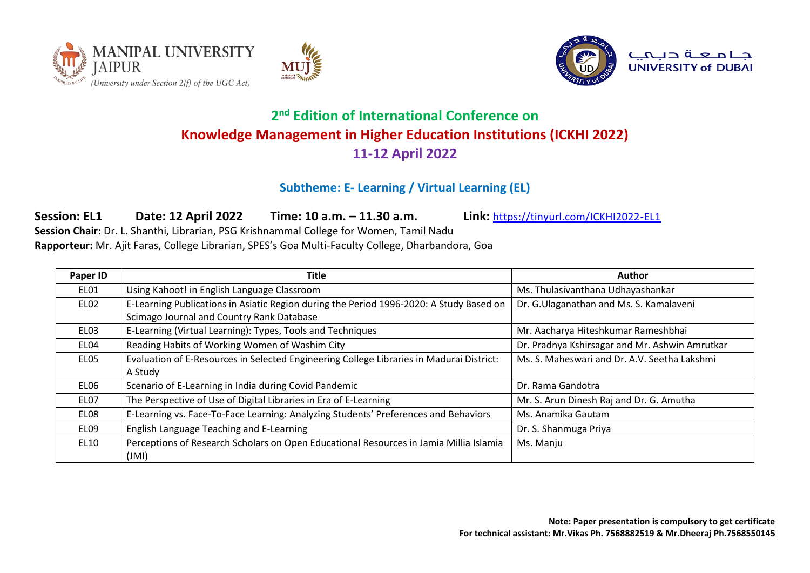





#### **Subtheme: E- Learning / Virtual Learning (EL)**

**Session: EL1 Date: 12 April 2022 Time: 10 a.m. – 11.30 a.m. Link:** <https://tinyurl.com/ICKHI2022-EL1> **Session Chair:** Dr. L. Shanthi, Librarian, PSG Krishnammal College for Women, Tamil Nadu **Rapporteur:** Mr. Ajit Faras, College Librarian, SPES's Goa Multi-Faculty College, Dharbandora, Goa

| Paper ID         | Title                                                                                           | Author                                         |
|------------------|-------------------------------------------------------------------------------------------------|------------------------------------------------|
| EL01             | Using Kahoot! in English Language Classroom                                                     | Ms. Thulasivanthana Udhayashankar              |
| EL02             | E-Learning Publications in Asiatic Region during the Period 1996-2020: A Study Based on         | Dr. G.Ulaganathan and Ms. S. Kamalaveni        |
|                  | Scimago Journal and Country Rank Database                                                       |                                                |
| ELO3             | E-Learning (Virtual Learning): Types, Tools and Techniques                                      | Mr. Aacharya Hiteshkumar Rameshbhai            |
| EL04             | Reading Habits of Working Women of Washim City                                                  | Dr. Pradnya Kshirsagar and Mr. Ashwin Amrutkar |
| ELO <sub>5</sub> | Evaluation of E-Resources in Selected Engineering College Libraries in Madurai District:        | Ms. S. Maheswari and Dr. A.V. Seetha Lakshmi   |
|                  | A Study                                                                                         |                                                |
| EL06             | Scenario of E-Learning in India during Covid Pandemic                                           | Dr. Rama Gandotra                              |
| EL07             | The Perspective of Use of Digital Libraries in Era of E-Learning                                | Mr. S. Arun Dinesh Raj and Dr. G. Amutha       |
| EL08             | E-Learning vs. Face-To-Face Learning: Analyzing Students' Preferences and Behaviors             | Ms. Anamika Gautam                             |
| EL09             | English Language Teaching and E-Learning                                                        | Dr. S. Shanmuga Priya                          |
| EL10             | Perceptions of Research Scholars on Open Educational Resources in Jamia Millia Islamia<br>(JMI) | Ms. Manju                                      |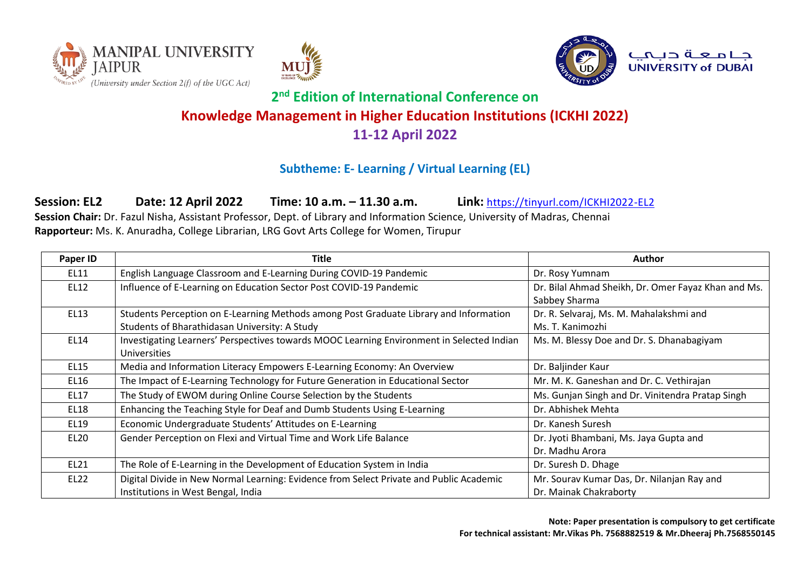





### **Subtheme: E- Learning / Virtual Learning (EL)**

**Session: EL2 Date: 12 April 2022 Time: 10 a.m. – 11.30 a.m. Link:** <https://tinyurl.com/ICKHI2022-EL2>

**Session Chair:** Dr. Fazul Nisha, Assistant Professor, Dept. of Library and Information Science, University of Madras, Chennai **Rapporteur:** Ms. K. Anuradha, College Librarian, LRG Govt Arts College for Women, Tirupur

| Paper ID    | <b>Title</b>                                                                              | <b>Author</b>                                       |
|-------------|-------------------------------------------------------------------------------------------|-----------------------------------------------------|
| EL11        | English Language Classroom and E-Learning During COVID-19 Pandemic                        | Dr. Rosy Yumnam                                     |
| EL12        | Influence of E-Learning on Education Sector Post COVID-19 Pandemic                        | Dr. Bilal Ahmad Sheikh, Dr. Omer Fayaz Khan and Ms. |
|             |                                                                                           | Sabbey Sharma                                       |
| <b>EL13</b> | Students Perception on E-Learning Methods among Post Graduate Library and Information     | Dr. R. Selvaraj, Ms. M. Mahalakshmi and             |
|             | Students of Bharathidasan University: A Study                                             | Ms. T. Kanimozhi                                    |
| <b>EL14</b> | Investigating Learners' Perspectives towards MOOC Learning Environment in Selected Indian | Ms. M. Blessy Doe and Dr. S. Dhanabagiyam           |
|             | <b>Universities</b>                                                                       |                                                     |
| <b>EL15</b> | Media and Information Literacy Empowers E-Learning Economy: An Overview                   | Dr. Baljinder Kaur                                  |
| EL16        | The Impact of E-Learning Technology for Future Generation in Educational Sector           | Mr. M. K. Ganeshan and Dr. C. Vethirajan            |
| EL17        | The Study of EWOM during Online Course Selection by the Students                          | Ms. Gunjan Singh and Dr. Vinitendra Pratap Singh    |
| EL18        | Enhancing the Teaching Style for Deaf and Dumb Students Using E-Learning                  | Dr. Abhishek Mehta                                  |
| EL19        | Economic Undergraduate Students' Attitudes on E-Learning                                  | Dr. Kanesh Suresh                                   |
| <b>EL20</b> | Gender Perception on Flexi and Virtual Time and Work Life Balance                         | Dr. Jyoti Bhambani, Ms. Jaya Gupta and              |
|             |                                                                                           | Dr. Madhu Arora                                     |
| EL21        | The Role of E-Learning in the Development of Education System in India                    | Dr. Suresh D. Dhage                                 |
| EL22        | Digital Divide in New Normal Learning: Evidence from Select Private and Public Academic   | Mr. Sourav Kumar Das, Dr. Nilanjan Ray and          |
|             | Institutions in West Bengal, India                                                        | Dr. Mainak Chakraborty                              |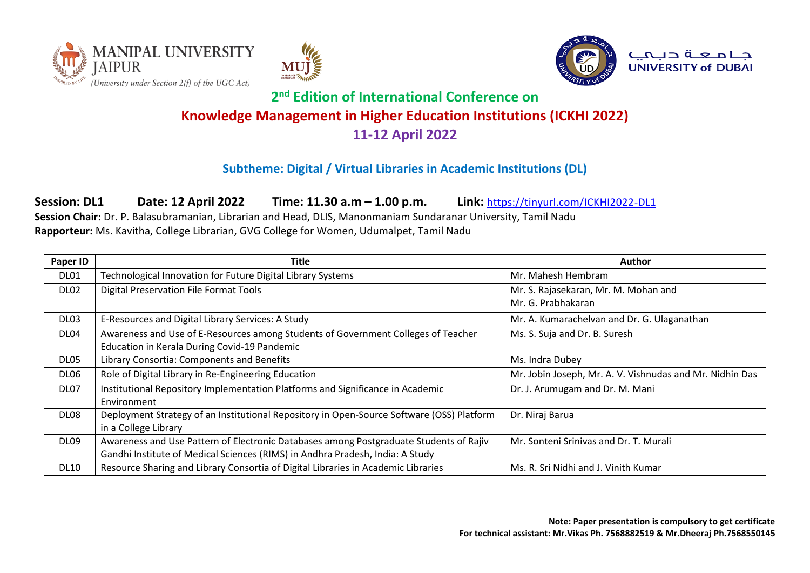





#### **Subtheme: Digital / Virtual Libraries in Academic Institutions (DL)**

**Session: DL1 Date: 12 April 2022 Time: 11.30 a.m – 1.00 p.m. Link:** <https://tinyurl.com/ICKHI2022-DL1>

**Session Chair:** Dr. P. Balasubramanian, Librarian and Head, DLIS, Manonmaniam Sundaranar University, Tamil Nadu **Rapporteur:** Ms. Kavitha, College Librarian, GVG College for Women, Udumalpet, Tamil Nadu

| Paper ID         | Title                                                                                     | <b>Author</b>                                            |
|------------------|-------------------------------------------------------------------------------------------|----------------------------------------------------------|
| <b>DL01</b>      | Technological Innovation for Future Digital Library Systems                               | Mr. Mahesh Hembram                                       |
| DL02             | <b>Digital Preservation File Format Tools</b>                                             | Mr. S. Rajasekaran, Mr. M. Mohan and                     |
|                  |                                                                                           | Mr. G. Prabhakaran                                       |
| DL03             | E-Resources and Digital Library Services: A Study                                         | Mr. A. Kumarachelvan and Dr. G. Ulaganathan              |
| DL <sub>04</sub> | Awareness and Use of E-Resources among Students of Government Colleges of Teacher         | Ms. S. Suja and Dr. B. Suresh                            |
|                  | Education in Kerala During Covid-19 Pandemic                                              |                                                          |
| DL05             | Library Consortia: Components and Benefits                                                | Ms. Indra Dubey                                          |
| DL <sub>06</sub> | Role of Digital Library in Re-Engineering Education                                       | Mr. Jobin Joseph, Mr. A. V. Vishnudas and Mr. Nidhin Das |
| DL07             | Institutional Repository Implementation Platforms and Significance in Academic            | Dr. J. Arumugam and Dr. M. Mani                          |
|                  | Environment                                                                               |                                                          |
| DL <sub>08</sub> | Deployment Strategy of an Institutional Repository in Open-Source Software (OSS) Platform | Dr. Niraj Barua                                          |
|                  | in a College Library                                                                      |                                                          |
| DL <sub>09</sub> | Awareness and Use Pattern of Electronic Databases among Postgraduate Students of Rajiv    | Mr. Sonteni Srinivas and Dr. T. Murali                   |
|                  | Gandhi Institute of Medical Sciences (RIMS) in Andhra Pradesh, India: A Study             |                                                          |
| <b>DL10</b>      | Resource Sharing and Library Consortia of Digital Libraries in Academic Libraries         | Ms. R. Sri Nidhi and J. Vinith Kumar                     |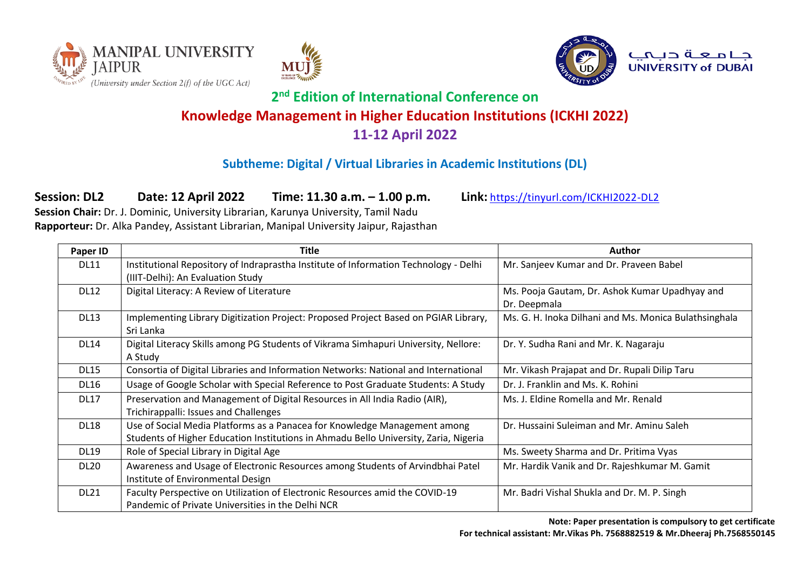





#### **Subtheme: Digital / Virtual Libraries in Academic Institutions (DL)**

**Session: DL2 Date: 12 April 2022 Time: 11.30 a.m. – 1.00 p.m. Link:** <https://tinyurl.com/ICKHI2022-DL2>

**Session Chair:** Dr. J. Dominic, University Librarian, Karunya University, Tamil Nadu **Rapporteur:** Dr. Alka Pandey, Assistant Librarian, Manipal University Jaipur, Rajasthan

| Paper ID    | Title                                                                                                                                                             | Author                                                         |
|-------------|-------------------------------------------------------------------------------------------------------------------------------------------------------------------|----------------------------------------------------------------|
| <b>DL11</b> | Institutional Repository of Indraprastha Institute of Information Technology - Delhi<br>(IIIT-Delhi): An Evaluation Study                                         | Mr. Sanjeev Kumar and Dr. Praveen Babel                        |
| <b>DL12</b> | Digital Literacy: A Review of Literature                                                                                                                          | Ms. Pooja Gautam, Dr. Ashok Kumar Upadhyay and<br>Dr. Deepmala |
| <b>DL13</b> | Implementing Library Digitization Project: Proposed Project Based on PGIAR Library,<br>Sri Lanka                                                                  | Ms. G. H. Inoka Dilhani and Ms. Monica Bulathsinghala          |
| <b>DL14</b> | Digital Literacy Skills among PG Students of Vikrama Simhapuri University, Nellore:<br>A Study                                                                    | Dr. Y. Sudha Rani and Mr. K. Nagaraju                          |
| <b>DL15</b> | Consortia of Digital Libraries and Information Networks: National and International                                                                               | Mr. Vikash Prajapat and Dr. Rupali Dilip Taru                  |
| DL16        | Usage of Google Scholar with Special Reference to Post Graduate Students: A Study                                                                                 | Dr. J. Franklin and Ms. K. Rohini                              |
| <b>DL17</b> | Preservation and Management of Digital Resources in All India Radio (AIR),<br>Trichirappalli: Issues and Challenges                                               | Ms. J. Eldine Romella and Mr. Renald                           |
| <b>DL18</b> | Use of Social Media Platforms as a Panacea for Knowledge Management among<br>Students of Higher Education Institutions in Ahmadu Bello University, Zaria, Nigeria | Dr. Hussaini Suleiman and Mr. Aminu Saleh                      |
| <b>DL19</b> | Role of Special Library in Digital Age                                                                                                                            | Ms. Sweety Sharma and Dr. Pritima Vyas                         |
| <b>DL20</b> | Awareness and Usage of Electronic Resources among Students of Arvindbhai Patel<br>Institute of Environmental Design                                               | Mr. Hardik Vanik and Dr. Rajeshkumar M. Gamit                  |
| <b>DL21</b> | Faculty Perspective on Utilization of Electronic Resources amid the COVID-19<br>Pandemic of Private Universities in the Delhi NCR                                 | Mr. Badri Vishal Shukla and Dr. M. P. Singh                    |

**Note: Paper presentation is compulsory to get certificate For technical assistant: Mr.Vikas Ph. 7568882519 & Mr.Dheeraj Ph.7568550145**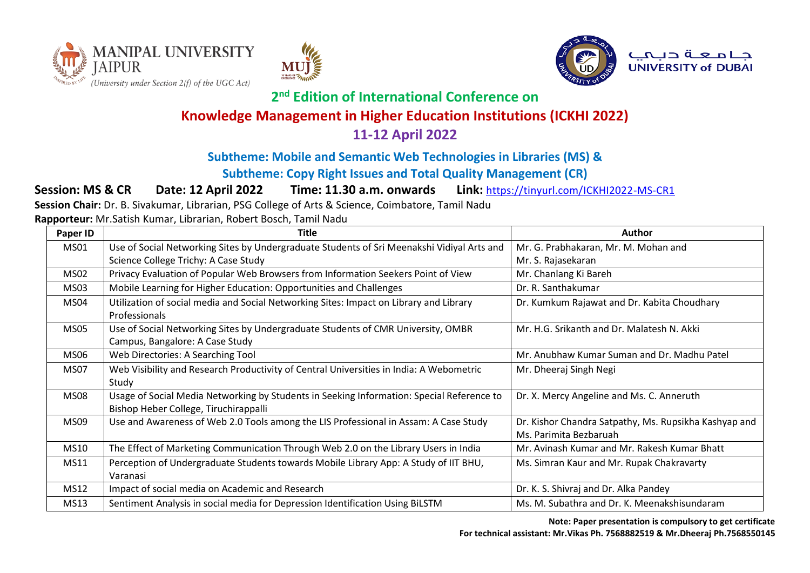





جامعة ديمي **UNIVERSITY of DUBAI** 

## **2 nd Edition of International Conference on**

## **Knowledge Management in Higher Education Institutions (ICKHI 2022)**

### **11-12 April 2022**

### **Subtheme: Mobile and Semantic Web Technologies in Libraries (MS) &**

#### **Subtheme: Copy Right Issues and Total Quality Management (CR)**

**Session: MS & CR Date: 12 April 2022 Time: 11.30 a.m. onwards Link:** <https://tinyurl.com/ICKHI2022-MS-CR1>

**Session Chair:** Dr. B. Sivakumar, Librarian, PSG College of Arts & Science, Coimbatore, Tamil Nadu

**Rapporteur:** Mr.Satish Kumar, Librarian, Robert Bosch, Tamil Nadu

| Paper ID    | <b>Title</b>                                                                                                                       | <b>Author</b>                                                                   |
|-------------|------------------------------------------------------------------------------------------------------------------------------------|---------------------------------------------------------------------------------|
| MS01        | Use of Social Networking Sites by Undergraduate Students of Sri Meenakshi Vidiyal Arts and                                         | Mr. G. Prabhakaran, Mr. M. Mohan and                                            |
|             | Science College Trichy: A Case Study                                                                                               | Mr. S. Rajasekaran                                                              |
| MS02        | Privacy Evaluation of Popular Web Browsers from Information Seekers Point of View                                                  | Mr. Chanlang Ki Bareh                                                           |
| MS03        | Mobile Learning for Higher Education: Opportunities and Challenges                                                                 | Dr. R. Santhakumar                                                              |
| MS04        | Utilization of social media and Social Networking Sites: Impact on Library and Library<br>Professionals                            | Dr. Kumkum Rajawat and Dr. Kabita Choudhary                                     |
| <b>MS05</b> | Use of Social Networking Sites by Undergraduate Students of CMR University, OMBR<br>Campus, Bangalore: A Case Study                | Mr. H.G. Srikanth and Dr. Malatesh N. Akki                                      |
| <b>MS06</b> | Web Directories: A Searching Tool                                                                                                  | Mr. Anubhaw Kumar Suman and Dr. Madhu Patel                                     |
| MS07        | Web Visibility and Research Productivity of Central Universities in India: A Webometric<br>Study                                   | Mr. Dheeraj Singh Negi                                                          |
| <b>MS08</b> | Usage of Social Media Networking by Students in Seeking Information: Special Reference to<br>Bishop Heber College, Tiruchirappalli | Dr. X. Mercy Angeline and Ms. C. Anneruth                                       |
| MS09        | Use and Awareness of Web 2.0 Tools among the LIS Professional in Assam: A Case Study                                               | Dr. Kishor Chandra Satpathy, Ms. Rupsikha Kashyap and<br>Ms. Parimita Bezbaruah |
| <b>MS10</b> | The Effect of Marketing Communication Through Web 2.0 on the Library Users in India                                                | Mr. Avinash Kumar and Mr. Rakesh Kumar Bhatt                                    |
| MS11        | Perception of Undergraduate Students towards Mobile Library App: A Study of IIT BHU,<br>Varanasi                                   | Ms. Simran Kaur and Mr. Rupak Chakravarty                                       |
| <b>MS12</b> | Impact of social media on Academic and Research                                                                                    | Dr. K. S. Shivraj and Dr. Alka Pandey                                           |
| <b>MS13</b> | Sentiment Analysis in social media for Depression Identification Using BiLSTM                                                      | Ms. M. Subathra and Dr. K. Meenakshisundaram                                    |

**Note: Paper presentation is compulsory to get certificate For technical assistant: Mr.Vikas Ph. 7568882519 & Mr.Dheeraj Ph.7568550145**